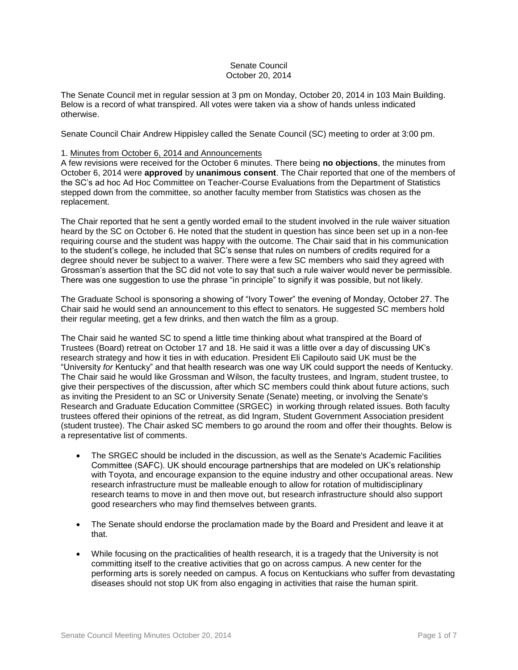## Senate Council October 20, 2014

The Senate Council met in regular session at 3 pm on Monday, October 20, 2014 in 103 Main Building. Below is a record of what transpired. All votes were taken via a show of hands unless indicated otherwise.

Senate Council Chair Andrew Hippisley called the Senate Council (SC) meeting to order at 3:00 pm.

# 1. Minutes from October 6, 2014 and Announcements

A few revisions were received for the October 6 minutes. There being **no objections**, the minutes from October 6, 2014 were **approved** by **unanimous consent**. The Chair reported that one of the members of the SC's ad hoc Ad Hoc Committee on Teacher-Course Evaluations from the Department of Statistics stepped down from the committee, so another faculty member from Statistics was chosen as the replacement.

The Chair reported that he sent a gently worded email to the student involved in the rule waiver situation heard by the SC on October 6. He noted that the student in question has since been set up in a non-fee requiring course and the student was happy with the outcome. The Chair said that in his communication to the student's college, he included that SC's sense that rules on numbers of credits required for a degree should never be subject to a waiver. There were a few SC members who said they agreed with Grossman's assertion that the SC did not vote to say that such a rule waiver would never be permissible. There was one suggestion to use the phrase "in principle" to signify it was possible, but not likely.

The Graduate School is sponsoring a showing of "Ivory Tower" the evening of Monday, October 27. The Chair said he would send an announcement to this effect to senators. He suggested SC members hold their regular meeting, get a few drinks, and then watch the film as a group.

The Chair said he wanted SC to spend a little time thinking about what transpired at the Board of Trustees (Board) retreat on October 17 and 18. He said it was a little over a day of discussing UK's research strategy and how it ties in with education. President Eli Capilouto said UK must be the "University *for* Kentucky" and that health research was one way UK could support the needs of Kentucky. The Chair said he would like Grossman and Wilson, the faculty trustees, and Ingram, student trustee, to give their perspectives of the discussion, after which SC members could think about future actions, such as inviting the President to an SC or University Senate (Senate) meeting, or involving the Senate's Research and Graduate Education Committee (SRGEC) in working through related issues. Both faculty trustees offered their opinions of the retreat, as did Ingram, Student Government Association president (student trustee). The Chair asked SC members to go around the room and offer their thoughts. Below is a representative list of comments.

- The SRGEC should be included in the discussion, as well as the Senate's Academic Facilities Committee (SAFC). UK should encourage partnerships that are modeled on UK's relationship with Toyota, and encourage expansion to the equine industry and other occupational areas. New research infrastructure must be malleable enough to allow for rotation of multidisciplinary research teams to move in and then move out, but research infrastructure should also support good researchers who may find themselves between grants.
- The Senate should endorse the proclamation made by the Board and President and leave it at that.
- While focusing on the practicalities of health research, it is a tragedy that the University is not committing itself to the creative activities that go on across campus. A new center for the performing arts is sorely needed on campus. A focus on Kentuckians who suffer from devastating diseases should not stop UK from also engaging in activities that raise the human spirit.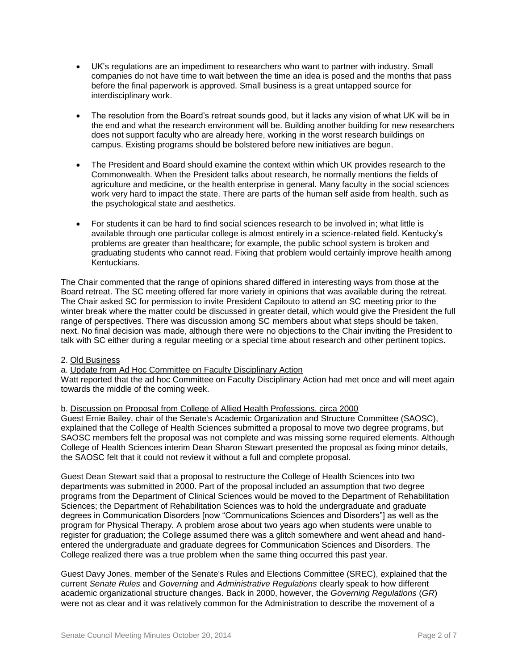- UK's regulations are an impediment to researchers who want to partner with industry. Small companies do not have time to wait between the time an idea is posed and the months that pass before the final paperwork is approved. Small business is a great untapped source for interdisciplinary work.
- The resolution from the Board's retreat sounds good, but it lacks any vision of what UK will be in the end and what the research environment will be. Building another building for new researchers does not support faculty who are already here, working in the worst research buildings on campus. Existing programs should be bolstered before new initiatives are begun.
- The President and Board should examine the context within which UK provides research to the Commonwealth. When the President talks about research, he normally mentions the fields of agriculture and medicine, or the health enterprise in general. Many faculty in the social sciences work very hard to impact the state. There are parts of the human self aside from health, such as the psychological state and aesthetics.
- For students it can be hard to find social sciences research to be involved in; what little is available through one particular college is almost entirely in a science-related field. Kentucky's problems are greater than healthcare; for example, the public school system is broken and graduating students who cannot read. Fixing that problem would certainly improve health among Kentuckians.

The Chair commented that the range of opinions shared differed in interesting ways from those at the Board retreat. The SC meeting offered far more variety in opinions that was available during the retreat. The Chair asked SC for permission to invite President Capilouto to attend an SC meeting prior to the winter break where the matter could be discussed in greater detail, which would give the President the full range of perspectives. There was discussion among SC members about what steps should be taken, next. No final decision was made, although there were no objections to the Chair inviting the President to talk with SC either during a regular meeting or a special time about research and other pertinent topics.

### 2. Old Business

a. Update from Ad Hoc Committee on Faculty Disciplinary Action

Watt reported that the ad hoc Committee on Faculty Disciplinary Action had met once and will meet again towards the middle of the coming week.

### b. Discussion on Proposal from College of Allied Health Professions, circa 2000

Guest Ernie Bailey, chair of the Senate's Academic Organization and Structure Committee (SAOSC), explained that the College of Health Sciences submitted a proposal to move two degree programs, but SAOSC members felt the proposal was not complete and was missing some required elements. Although College of Health Sciences interim Dean Sharon Stewart presented the proposal as fixing minor details, the SAOSC felt that it could not review it without a full and complete proposal.

Guest Dean Stewart said that a proposal to restructure the College of Health Sciences into two departments was submitted in 2000. Part of the proposal included an assumption that two degree programs from the Department of Clinical Sciences would be moved to the Department of Rehabilitation Sciences; the Department of Rehabilitation Sciences was to hold the undergraduate and graduate degrees in Communication Disorders [now "Communications Sciences and Disorders"] as well as the program for Physical Therapy. A problem arose about two years ago when students were unable to register for graduation; the College assumed there was a glitch somewhere and went ahead and handentered the undergraduate and graduate degrees for Communication Sciences and Disorders. The College realized there was a true problem when the same thing occurred this past year.

Guest Davy Jones, member of the Senate's Rules and Elections Committee (SREC), explained that the current *Senate Rules* and *Governing* and *Administrative Regulations* clearly speak to how different academic organizational structure changes. Back in 2000, however, the *Governing Regulations* (*GR*) were not as clear and it was relatively common for the Administration to describe the movement of a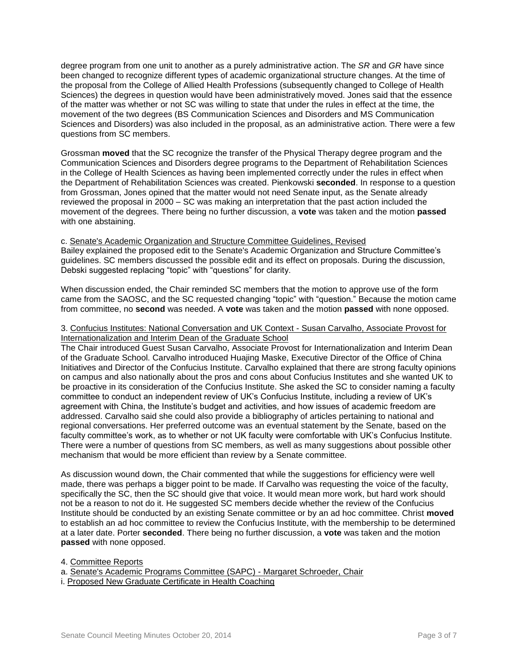degree program from one unit to another as a purely administrative action. The *SR* and *GR* have since been changed to recognize different types of academic organizational structure changes. At the time of the proposal from the College of Allied Health Professions (subsequently changed to College of Health Sciences) the degrees in question would have been administratively moved. Jones said that the essence of the matter was whether or not SC was willing to state that under the rules in effect at the time, the movement of the two degrees (BS Communication Sciences and Disorders and MS Communication Sciences and Disorders) was also included in the proposal, as an administrative action. There were a few questions from SC members.

Grossman **moved** that the SC recognize the transfer of the Physical Therapy degree program and the Communication Sciences and Disorders degree programs to the Department of Rehabilitation Sciences in the College of Health Sciences as having been implemented correctly under the rules in effect when the Department of Rehabilitation Sciences was created. Pienkowski **seconded**. In response to a question from Grossman, Jones opined that the matter would not need Senate input, as the Senate already reviewed the proposal in 2000 – SC was making an interpretation that the past action included the movement of the degrees. There being no further discussion, a **vote** was taken and the motion **passed** with one abstaining.

c. Senate's Academic Organization and Structure Committee Guidelines, Revised Bailey explained the proposed edit to the Senate's Academic Organization and Structure Committee's guidelines. SC members discussed the possible edit and its effect on proposals. During the discussion, Debski suggested replacing "topic" with "questions" for clarity.

When discussion ended, the Chair reminded SC members that the motion to approve use of the form came from the SAOSC, and the SC requested changing "topic" with "question." Because the motion came from committee, no **second** was needed. A **vote** was taken and the motion **passed** with none opposed.

#### 3. Confucius Institutes: National Conversation and UK Context - Susan Carvalho, Associate Provost for Internationalization and Interim Dean of the Graduate School

The Chair introduced Guest Susan Carvalho, Associate Provost for Internationalization and Interim Dean of the Graduate School. Carvalho introduced Huajing Maske, Executive Director of the Office of China Initiatives and Director of the Confucius Institute. Carvalho explained that there are strong faculty opinions on campus and also nationally about the pros and cons about Confucius Institutes and she wanted UK to be proactive in its consideration of the Confucius Institute. She asked the SC to consider naming a faculty committee to conduct an independent review of UK's Confucius Institute, including a review of UK's agreement with China, the Institute's budget and activities, and how issues of academic freedom are addressed. Carvalho said she could also provide a bibliography of articles pertaining to national and regional conversations. Her preferred outcome was an eventual statement by the Senate, based on the faculty committee's work, as to whether or not UK faculty were comfortable with UK's Confucius Institute. There were a number of questions from SC members, as well as many suggestions about possible other mechanism that would be more efficient than review by a Senate committee.

As discussion wound down, the Chair commented that while the suggestions for efficiency were well made, there was perhaps a bigger point to be made. If Carvalho was requesting the voice of the faculty, specifically the SC, then the SC should give that voice. It would mean more work, but hard work should not be a reason to not do it. He suggested SC members decide whether the review of the Confucius Institute should be conducted by an existing Senate committee or by an ad hoc committee. Christ **moved** to establish an ad hoc committee to review the Confucius Institute, with the membership to be determined at a later date. Porter **seconded**. There being no further discussion, a **vote** was taken and the motion **passed** with none opposed.

4. Committee Reports

a. Senate's Academic Programs Committee (SAPC) - Margaret Schroeder, Chair

i. Proposed New Graduate Certificate in Health Coaching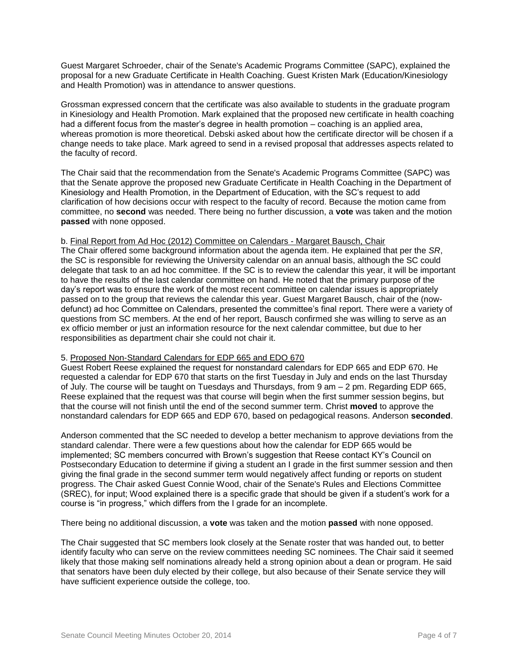Guest Margaret Schroeder, chair of the Senate's Academic Programs Committee (SAPC), explained the proposal for a new Graduate Certificate in Health Coaching. Guest Kristen Mark (Education/Kinesiology and Health Promotion) was in attendance to answer questions.

Grossman expressed concern that the certificate was also available to students in the graduate program in Kinesiology and Health Promotion. Mark explained that the proposed new certificate in health coaching had a different focus from the master's degree in health promotion – coaching is an applied area, whereas promotion is more theoretical. Debski asked about how the certificate director will be chosen if a change needs to take place. Mark agreed to send in a revised proposal that addresses aspects related to the faculty of record.

The Chair said that the recommendation from the Senate's Academic Programs Committee (SAPC) was that the Senate approve the proposed new Graduate Certificate in Health Coaching in the Department of Kinesiology and Health Promotion, in the Department of Education, with the SC's request to add clarification of how decisions occur with respect to the faculty of record. Because the motion came from committee, no **second** was needed. There being no further discussion, a **vote** was taken and the motion **passed** with none opposed.

### b. Final Report from Ad Hoc (2012) Committee on Calendars - Margaret Bausch, Chair

The Chair offered some background information about the agenda item. He explained that per the *SR*, the SC is responsible for reviewing the University calendar on an annual basis, although the SC could delegate that task to an ad hoc committee. If the SC is to review the calendar this year, it will be important to have the results of the last calendar committee on hand. He noted that the primary purpose of the day's report was to ensure the work of the most recent committee on calendar issues is appropriately passed on to the group that reviews the calendar this year. Guest Margaret Bausch, chair of the (nowdefunct) ad hoc Committee on Calendars, presented the committee's final report. There were a variety of questions from SC members. At the end of her report, Bausch confirmed she was willing to serve as an ex officio member or just an information resource for the next calendar committee, but due to her responsibilities as department chair she could not chair it.

### 5. Proposed Non-Standard Calendars for EDP 665 and EDO 670

Guest Robert Reese explained the request for nonstandard calendars for EDP 665 and EDP 670. He requested a calendar for EDP 670 that starts on the first Tuesday in July and ends on the last Thursday of July. The course will be taught on Tuesdays and Thursdays, from 9 am – 2 pm. Regarding EDP 665, Reese explained that the request was that course will begin when the first summer session begins, but that the course will not finish until the end of the second summer term. Christ **moved** to approve the nonstandard calendars for EDP 665 and EDP 670, based on pedagogical reasons. Anderson **seconded**.

Anderson commented that the SC needed to develop a better mechanism to approve deviations from the standard calendar. There were a few questions about how the calendar for EDP 665 would be implemented; SC members concurred with Brown's suggestion that Reese contact KY's Council on Postsecondary Education to determine if giving a student an I grade in the first summer session and then giving the final grade in the second summer term would negatively affect funding or reports on student progress. The Chair asked Guest Connie Wood, chair of the Senate's Rules and Elections Committee (SREC), for input; Wood explained there is a specific grade that should be given if a student's work for a course is "in progress," which differs from the I grade for an incomplete.

There being no additional discussion, a **vote** was taken and the motion **passed** with none opposed.

The Chair suggested that SC members look closely at the Senate roster that was handed out, to better identify faculty who can serve on the review committees needing SC nominees. The Chair said it seemed likely that those making self nominations already held a strong opinion about a dean or program. He said that senators have been duly elected by their college, but also because of their Senate service they will have sufficient experience outside the college, too.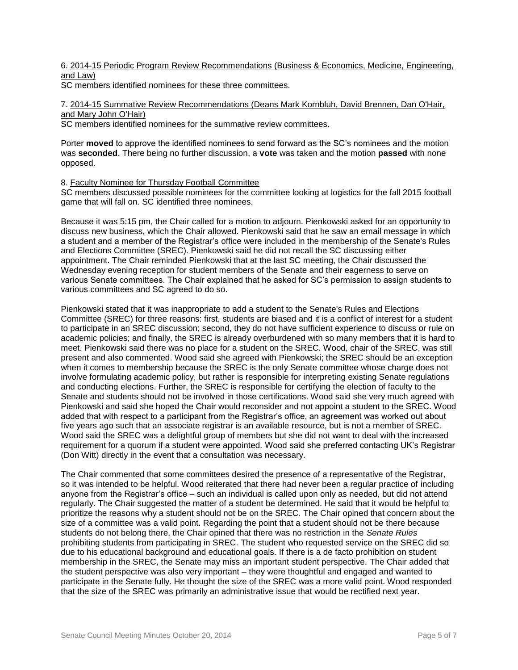6. 2014-15 Periodic Program Review Recommendations (Business & Economics, Medicine, Engineering, and Law)

SC members identified nominees for these three committees.

7. 2014-15 Summative Review Recommendations (Deans Mark Kornbluh, David Brennen, Dan O'Hair, and Mary John O'Hair)

SC members identified nominees for the summative review committees.

Porter **moved** to approve the identified nominees to send forward as the SC's nominees and the motion was **seconded**. There being no further discussion, a **vote** was taken and the motion **passed** with none opposed.

8. Faculty Nominee for Thursday Football Committee

SC members discussed possible nominees for the committee looking at logistics for the fall 2015 football game that will fall on. SC identified three nominees.

Because it was 5:15 pm, the Chair called for a motion to adjourn. Pienkowski asked for an opportunity to discuss new business, which the Chair allowed. Pienkowski said that he saw an email message in which a student and a member of the Registrar's office were included in the membership of the Senate's Rules and Elections Committee (SREC). Pienkowski said he did not recall the SC discussing either appointment. The Chair reminded Pienkowski that at the last SC meeting, the Chair discussed the Wednesday evening reception for student members of the Senate and their eagerness to serve on various Senate committees. The Chair explained that he asked for SC's permission to assign students to various committees and SC agreed to do so.

Pienkowski stated that it was inappropriate to add a student to the Senate's Rules and Elections Committee (SREC) for three reasons: first, students are biased and it is a conflict of interest for a student to participate in an SREC discussion; second, they do not have sufficient experience to discuss or rule on academic policies; and finally, the SREC is already overburdened with so many members that it is hard to meet. Pienkowski said there was no place for a student on the SREC. Wood, chair of the SREC, was still present and also commented. Wood said she agreed with Pienkowski; the SREC should be an exception when it comes to membership because the SREC is the only Senate committee whose charge does not involve formulating academic policy, but rather is responsible for interpreting existing Senate regulations and conducting elections. Further, the SREC is responsible for certifying the election of faculty to the Senate and students should not be involved in those certifications. Wood said she very much agreed with Pienkowski and said she hoped the Chair would reconsider and not appoint a student to the SREC. Wood added that with respect to a participant from the Registrar's office, an agreement was worked out about five years ago such that an associate registrar is an available resource, but is not a member of SREC. Wood said the SREC was a delightful group of members but she did not want to deal with the increased requirement for a quorum if a student were appointed. Wood said she preferred contacting UK's Registrar (Don Witt) directly in the event that a consultation was necessary.

The Chair commented that some committees desired the presence of a representative of the Registrar, so it was intended to be helpful. Wood reiterated that there had never been a regular practice of including anyone from the Registrar's office – such an individual is called upon only as needed, but did not attend regularly. The Chair suggested the matter of a student be determined. He said that it would be helpful to prioritize the reasons why a student should not be on the SREC. The Chair opined that concern about the size of a committee was a valid point. Regarding the point that a student should not be there because students do not belong there, the Chair opined that there was no restriction in the *Senate Rules* prohibiting students from participating in SREC. The student who requested service on the SREC did so due to his educational background and educational goals. If there is a de facto prohibition on student membership in the SREC, the Senate may miss an important student perspective. The Chair added that the student perspective was also very important – they were thoughtful and engaged and wanted to participate in the Senate fully. He thought the size of the SREC was a more valid point. Wood responded that the size of the SREC was primarily an administrative issue that would be rectified next year.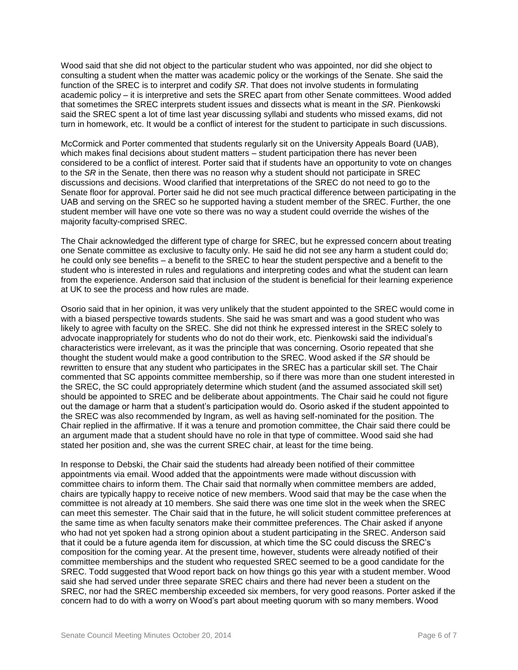Wood said that she did not object to the particular student who was appointed, nor did she object to consulting a student when the matter was academic policy or the workings of the Senate. She said the function of the SREC is to interpret and codify *SR*. That does not involve students in formulating academic policy – it is interpretive and sets the SREC apart from other Senate committees. Wood added that sometimes the SREC interprets student issues and dissects what is meant in the *SR*. Pienkowski said the SREC spent a lot of time last year discussing syllabi and students who missed exams, did not turn in homework, etc. It would be a conflict of interest for the student to participate in such discussions.

McCormick and Porter commented that students regularly sit on the University Appeals Board (UAB), which makes final decisions about student matters – student participation there has never been considered to be a conflict of interest. Porter said that if students have an opportunity to vote on changes to the *SR* in the Senate, then there was no reason why a student should not participate in SREC discussions and decisions. Wood clarified that interpretations of the SREC do not need to go to the Senate floor for approval. Porter said he did not see much practical difference between participating in the UAB and serving on the SREC so he supported having a student member of the SREC. Further, the one student member will have one vote so there was no way a student could override the wishes of the majority faculty-comprised SREC.

The Chair acknowledged the different type of charge for SREC, but he expressed concern about treating one Senate committee as exclusive to faculty only. He said he did not see any harm a student could do; he could only see benefits – a benefit to the SREC to hear the student perspective and a benefit to the student who is interested in rules and regulations and interpreting codes and what the student can learn from the experience. Anderson said that inclusion of the student is beneficial for their learning experience at UK to see the process and how rules are made.

Osorio said that in her opinion, it was very unlikely that the student appointed to the SREC would come in with a biased perspective towards students. She said he was smart and was a good student who was likely to agree with faculty on the SREC. She did not think he expressed interest in the SREC solely to advocate inappropriately for students who do not do their work, etc. Pienkowski said the individual's characteristics were irrelevant, as it was the principle that was concerning. Osorio repeated that she thought the student would make a good contribution to the SREC. Wood asked if the *SR* should be rewritten to ensure that any student who participates in the SREC has a particular skill set. The Chair commented that SC appoints committee membership, so if there was more than one student interested in the SREC, the SC could appropriately determine which student (and the assumed associated skill set) should be appointed to SREC and be deliberate about appointments. The Chair said he could not figure out the damage or harm that a student's participation would do. Osorio asked if the student appointed to the SREC was also recommended by Ingram, as well as having self-nominated for the position. The Chair replied in the affirmative. If it was a tenure and promotion committee, the Chair said there could be an argument made that a student should have no role in that type of committee. Wood said she had stated her position and, she was the current SREC chair, at least for the time being.

In response to Debski, the Chair said the students had already been notified of their committee appointments via email. Wood added that the appointments were made without discussion with committee chairs to inform them. The Chair said that normally when committee members are added, chairs are typically happy to receive notice of new members. Wood said that may be the case when the committee is not already at 10 members. She said there was one time slot in the week when the SREC can meet this semester. The Chair said that in the future, he will solicit student committee preferences at the same time as when faculty senators make their committee preferences. The Chair asked if anyone who had not yet spoken had a strong opinion about a student participating in the SREC. Anderson said that it could be a future agenda item for discussion, at which time the SC could discuss the SREC's composition for the coming year. At the present time, however, students were already notified of their committee memberships and the student who requested SREC seemed to be a good candidate for the SREC. Todd suggested that Wood report back on how things go this year with a student member. Wood said she had served under three separate SREC chairs and there had never been a student on the SREC, nor had the SREC membership exceeded six members, for very good reasons. Porter asked if the concern had to do with a worry on Wood's part about meeting quorum with so many members. Wood